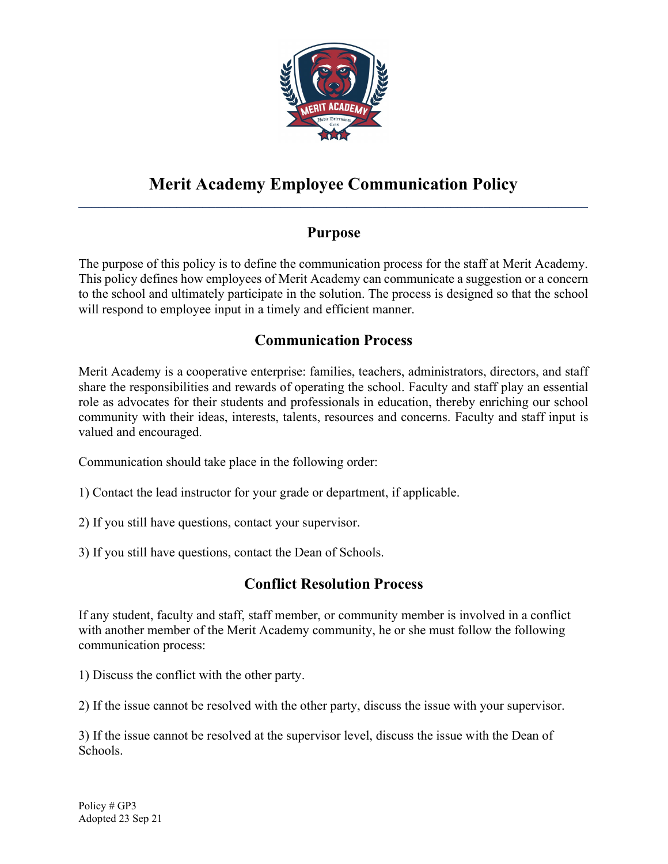

#### Merit Academy Employee Communication Policy  $\mathcal{L}_\text{max} = \mathcal{L}_\text{max} = \mathcal{L}_\text{max} = \mathcal{L}_\text{max} = \mathcal{L}_\text{max} = \mathcal{L}_\text{max} = \mathcal{L}_\text{max} = \mathcal{L}_\text{max} = \mathcal{L}_\text{max} = \mathcal{L}_\text{max} = \mathcal{L}_\text{max} = \mathcal{L}_\text{max} = \mathcal{L}_\text{max} = \mathcal{L}_\text{max} = \mathcal{L}_\text{max} = \mathcal{L}_\text{max} = \mathcal{L}_\text{max} = \mathcal{L}_\text{max} = \mathcal{$

### Purpose

The purpose of this policy is to define the communication process for the staff at Merit Academy. This policy defines how employees of Merit Academy can communicate a suggestion or a concern to the school and ultimately participate in the solution. The process is designed so that the school will respond to employee input in a timely and efficient manner.

# Communication Process

Merit Academy is a cooperative enterprise: families, teachers, administrators, directors, and staff share the responsibilities and rewards of operating the school. Faculty and staff play an essential role as advocates for their students and professionals in education, thereby enriching our school community with their ideas, interests, talents, resources and concerns. Faculty and staff input is valued and encouraged.

Communication should take place in the following order:

- 1) Contact the lead instructor for your grade or department, if applicable.
- 2) If you still have questions, contact your supervisor.
- 3) If you still have questions, contact the Dean of Schools.

# Conflict Resolution Process

If any student, faculty and staff, staff member, or community member is involved in a conflict with another member of the Merit Academy community, he or she must follow the following communication process:

1) Discuss the conflict with the other party.

2) If the issue cannot be resolved with the other party, discuss the issue with your supervisor.

3) If the issue cannot be resolved at the supervisor level, discuss the issue with the Dean of Schools.